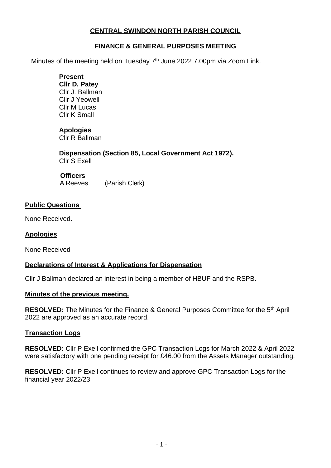# **CENTRAL SWINDON NORTH PARISH COUNCIL**

## **FINANCE & GENERAL PURPOSES MEETING**

Minutes of the meeting held on Tuesday 7<sup>th</sup> June 2022 7.00pm via Zoom Link.

**Present Cllr D. Patey** Cllr J. Ballman Cllr J Yeowell Cllr M Lucas Cllr K Small

### **Apologies**

Cllr R Ballman

**Dispensation (Section 85, Local Government Act 1972).** Cllr S Exell

 **Officers**

A Reeves (Parish Clerk)

### **Public Questions**

None Received.

### **Apologies**

None Received

## **Declarations of Interest & Applications for Dispensation**

Cllr J Ballman declared an interest in being a member of HBUF and the RSPB.

#### **Minutes of the previous meeting.**

RESOLVED: The Minutes for the Finance & General Purposes Committee for the 5<sup>th</sup> April 2022 are approved as an accurate record.

## **Transaction Logs**

**RESOLVED:** Cllr P Exell confirmed the GPC Transaction Logs for March 2022 & April 2022 were satisfactory with one pending receipt for £46.00 from the Assets Manager outstanding.

**RESOLVED:** Cllr P Exell continues to review and approve GPC Transaction Logs for the financial year 2022/23.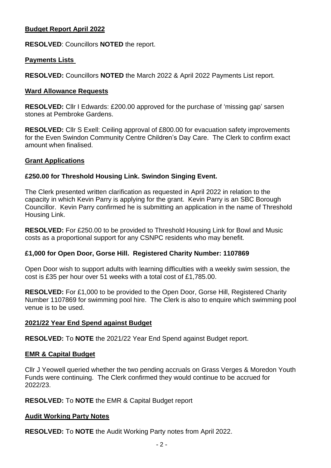## **Budget Report April 2022**

**RESOLVED**: Councillors **NOTED** the report.

### **Payments Lists**

**RESOLVED:** Councillors **NOTED** the March 2022 & April 2022 Payments List report.

### **Ward Allowance Requests**

**RESOLVED:** Cllr I Edwards: £200.00 approved for the purchase of 'missing gap' sarsen stones at Pembroke Gardens.

**RESOLVED:** Cllr S Exell: Ceiling approval of £800.00 for evacuation safety improvements for the Even Swindon Community Centre Children's Day Care. The Clerk to confirm exact amount when finalised.

### **Grant Applications**

### **£250.00 for Threshold Housing Link. Swindon Singing Event.**

The Clerk presented written clarification as requested in April 2022 in relation to the capacity in which Kevin Parry is applying for the grant. Kevin Parry is an SBC Borough Councillor. Kevin Parry confirmed he is submitting an application in the name of Threshold Housing Link.

**RESOLVED:** For £250.00 to be provided to Threshold Housing Link for Bowl and Music costs as a proportional support for any CSNPC residents who may benefit.

#### **£1,000 for Open Door, Gorse Hill. Registered Charity Number: 1107869**

Open Door wish to support adults with learning difficulties with a weekly swim session, the cost is £35 per hour over 51 weeks with a total cost of £1,785.00.

**RESOLVED:** For £1,000 to be provided to the Open Door, Gorse Hill, Registered Charity Number 1107869 for swimming pool hire. The Clerk is also to enquire which swimming pool venue is to be used.

## **2021/22 Year End Spend against Budget**

**RESOLVED:** To **NOTE** the 2021/22 Year End Spend against Budget report.

#### **EMR & Capital Budget**

Cllr J Yeowell queried whether the two pending accruals on Grass Verges & Moredon Youth Funds were continuing. The Clerk confirmed they would continue to be accrued for 2022/23.

#### **RESOLVED:** To **NOTE** the EMR & Capital Budget report

#### **Audit Working Party Notes**

**RESOLVED:** To **NOTE** the Audit Working Party notes from April 2022.